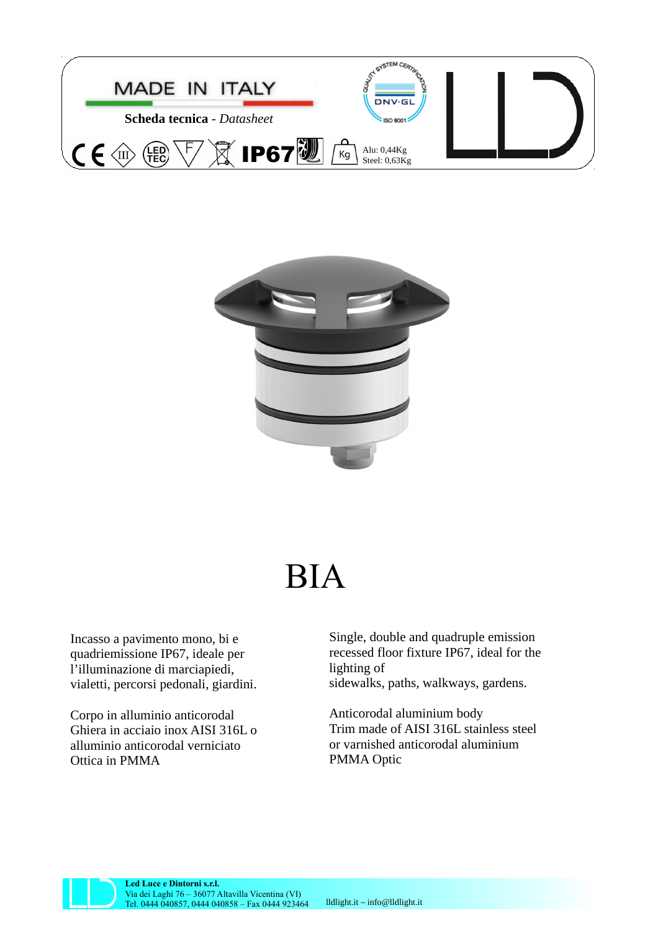



## BIA

Incasso a pavimento mono, bi e quadriemissione IP67, ideale per l'illuminazione di marciapiedi, vialetti, percorsi pedonali, giardini.

Corpo in alluminio anticorodal Ghiera in acciaio inox AISI 316L o alluminio anticorodal verniciato Ottica in PMMA

Single, double and quadruple emission recessed floor fixture IP67, ideal for the lighting of sidewalks, paths, walkways, gardens.

Anticorodal aluminium body Trim made of AISI 316L stainless steel or varnished anticorodal aluminium PMMA Optic



**Led Luce e Dintorni s.r.l.** Via dei Laghi 76 – 36077 Altavilla Vicentina (VI) Tel. 0444 040857, 0444 040858 – Fax 0444 923464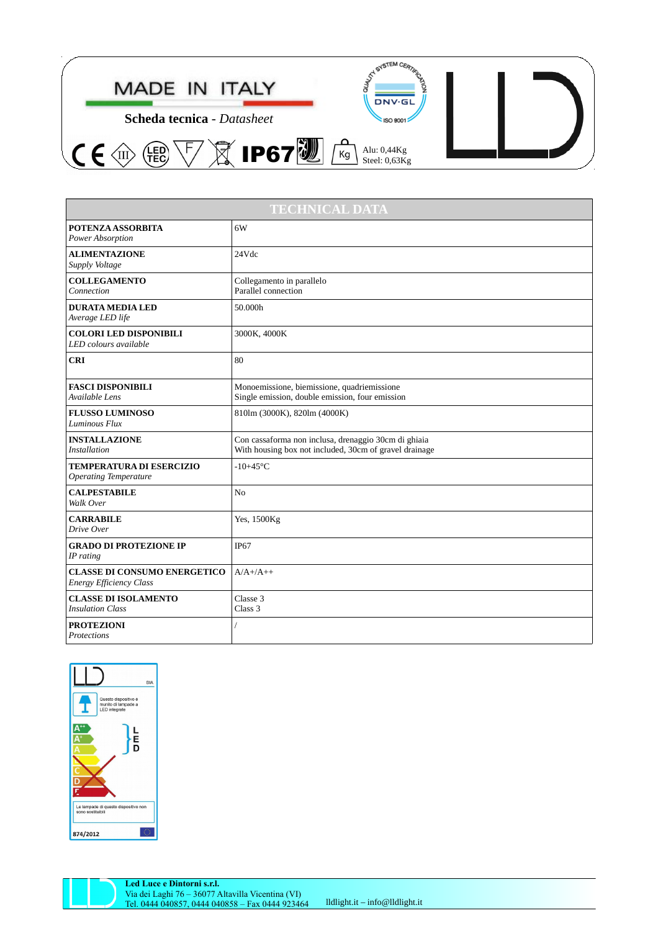

| <b>TECHNICAL DATA</b>                                                 |                                                                                                                |
|-----------------------------------------------------------------------|----------------------------------------------------------------------------------------------------------------|
| <b>POTENZA ASSORBITA</b><br>Power Absorption                          | 6W                                                                                                             |
| <b>ALIMENTAZIONE</b><br>Supply Voltage                                | 24Vdc                                                                                                          |
| <b>COLLEGAMENTO</b><br>Connection                                     | Collegamento in parallelo<br>Parallel connection                                                               |
| <b>DURATA MEDIA LED</b><br>Average LED life                           | 50.000h                                                                                                        |
| <b>COLORI LED DISPONIBILI</b><br>LED colours available                | 3000K, 4000K                                                                                                   |
| <b>CRI</b>                                                            | 80                                                                                                             |
| <b>FASCI DISPONIBILI</b><br>Available Lens                            | Monoemissione, biemissione, quadriemissione<br>Single emission, double emission, four emission                 |
| <b>FLUSSO LUMINOSO</b><br>Luminous Flux                               | 810lm (3000K), 820lm (4000K)                                                                                   |
| <b>INSTALLAZIONE</b><br><b>Installation</b>                           | Con cassaforma non inclusa, drenaggio 30cm di ghiaia<br>With housing box not included, 30cm of gravel drainage |
| <b>TEMPERATURA DI ESERCIZIO</b><br><b>Operating Temperature</b>       | $-10+45$ °C                                                                                                    |
| <b>CALPESTABILE</b><br>Walk Over                                      | N <sub>0</sub>                                                                                                 |
| <b>CARRABILE</b><br>Drive Over                                        | Yes, 1500Kg                                                                                                    |
| <b>GRADO DI PROTEZIONE IP</b><br>IP rating                            | <b>IP67</b>                                                                                                    |
| <b>CLASSE DI CONSUMO ENERGETICO</b><br><b>Energy Efficiency Class</b> | $A/A$ +/A++                                                                                                    |
| <b>CLASSE DI ISOLAMENTO</b><br><b>Insulation Class</b>                | Classe 3<br>Class 3                                                                                            |
| <b>PROTEZIONI</b><br>Protections                                      |                                                                                                                |